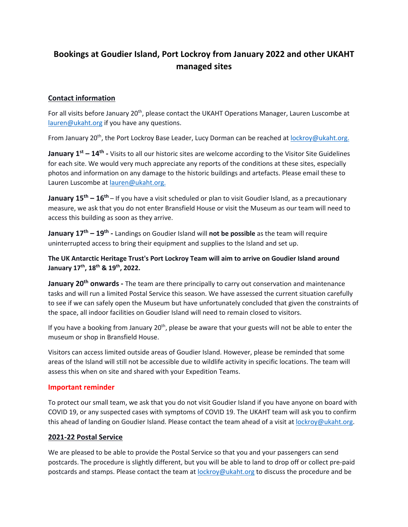# **Bookings at Goudier Island, Port Lockroy from January 2022 and other UKAHT managed sites**

## **Contact information**

For all visits before January 20<sup>th</sup>, please contact the UKAHT Operations Manager, Lauren Luscombe at lauren@ukaht.org if you have any questions.

From January 20<sup>th</sup>, the Port Lockroy Base Leader, Lucy Dorman can be reached at lockroy@ukaht.org.

**January 1st – 14th -** Visits to all our historic sites are welcome according to the Visitor Site Guidelines for each site. We would very much appreciate any reports of the conditions at these sites, especially photos and information on any damage to the historic buildings and artefacts. Please email these to Lauren Luscombe at lauren@ukaht.org.

**January 15th – 16th** – If you have a visit scheduled or plan to visit Goudier Island, as a precautionary measure, we ask that you do not enter Bransfield House or visit the Museum as our team will need to access this building as soon as they arrive.

**January 17th – 19th -** Landings on Goudier Island will **not be possible** as the team will require uninterrupted access to bring their equipment and supplies to the Island and set up.

**The UK Antarctic Heritage Trust's Port Lockroy Team will aim to arrive on Goudier Island around January 17th, 18th & 19th, 2022.** 

**January 20th onwards -** The team are there principally to carry out conservation and maintenance tasks and will run a limited Postal Service this season. We have assessed the current situation carefully to see if we can safely open the Museum but have unfortunately concluded that given the constraints of the space, all indoor facilities on Goudier Island will need to remain closed to visitors.

If you have a booking from January  $20<sup>th</sup>$ , please be aware that your guests will not be able to enter the museum or shop in Bransfield House.

Visitors can access limited outside areas of Goudier Island. However, please be reminded that some areas of the Island will still not be accessible due to wildlife activity in specific locations. The team will assess this when on site and shared with your Expedition Teams.

### **Important reminder**

To protect our small team, we ask that you do not visit Goudier Island if you have anyone on board with COVID 19, or any suspected cases with symptoms of COVID 19. The UKAHT team will ask you to confirm this ahead of landing on Goudier Island. Please contact the team ahead of a visit at lockroy@ukaht.org.

### **2021-22 Postal Service**

We are pleased to be able to provide the Postal Service so that you and your passengers can send postcards. The procedure is slightly different, but you will be able to land to drop off or collect pre-paid postcards and stamps. Please contact the team at lockroy@ukaht.org to discuss the procedure and be